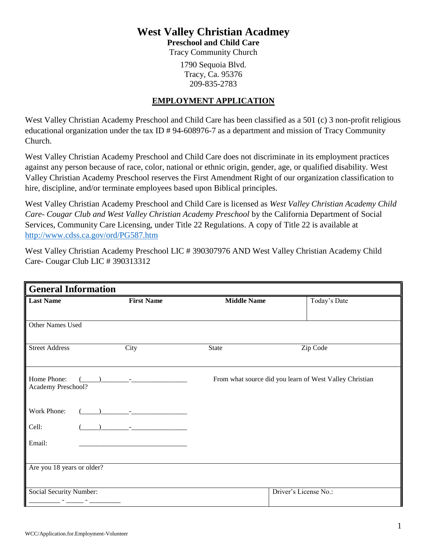## **West Valley Christian Acadmey**

**Preschool and Child Care**

Tracy Community Church

1790 Sequoia Blvd. Tracy, Ca. 95376 209-835-2783

#### **EMPLOYMENT APPLICATION**

West Valley Christian Academy Preschool and Child Care has been classified as a 501 (c) 3 non-profit religious educational organization under the tax ID # 94-608976-7 as a department and mission of Tracy Community Church.

West Valley Christian Academy Preschool and Child Care does not discriminate in its employment practices against any person because of race, color, national or ethnic origin, gender, age, or qualified disability. West Valley Christian Academy Preschool reserves the First Amendment Right of our organization classification to hire, discipline, and/or terminate employees based upon Biblical principles.

West Valley Christian Academy Preschool and Child Care is licensed as *West Valley Christian Academy Child Care- Cougar Club and West Valley Christian Academy Preschool* by the California Department of Social Services, Community Care Licensing, under Title 22 Regulations. A copy of Title 22 is available at <http://www.cdss.ca.gov/ord/PG587.htm>

West Valley Christian Academy Preschool LIC # 390307976 AND West Valley Christian Academy Child Care- Cougar Club LIC # 390313312

| <b>General Information</b>        |                                                           |                    |                                                         |  |  |
|-----------------------------------|-----------------------------------------------------------|--------------------|---------------------------------------------------------|--|--|
| <b>Last Name</b>                  | <b>First Name</b>                                         | <b>Middle Name</b> | Today's Date                                            |  |  |
|                                   |                                                           |                    |                                                         |  |  |
| Other Names Used                  |                                                           |                    |                                                         |  |  |
| <b>Street Address</b>             | City                                                      | State              | Zip Code                                                |  |  |
| Home Phone:<br>Academy Preschool? | $($ ) -                                                   |                    | From what source did you learn of West Valley Christian |  |  |
| Work Phone:                       |                                                           |                    |                                                         |  |  |
| Cell:                             | $\mathbf{r}$ and $\mathbf{r}$ are the set of $\mathbf{r}$ |                    |                                                         |  |  |
| Email:                            |                                                           |                    |                                                         |  |  |
|                                   |                                                           |                    |                                                         |  |  |
| Are you 18 years or older?        |                                                           |                    |                                                         |  |  |
| Social Security Number:           |                                                           |                    | Driver's License No.:                                   |  |  |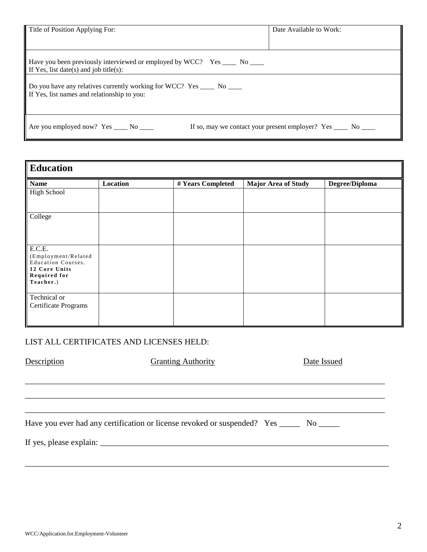| Title of Position Applying For:                                                                                       | Date Available to Work:                                          |  |  |
|-----------------------------------------------------------------------------------------------------------------------|------------------------------------------------------------------|--|--|
| Have you been previously interviewed or employed by WCC? Yes _____ No _____<br>If Yes, list date(s) and job title(s): |                                                                  |  |  |
| Do you have any relatives currently working for WCC? Yes _____ No ____<br>If Yes, list names and relationship to you: |                                                                  |  |  |
| Are you employed now? $Yes \_\_\_$ No $\_\_\_$                                                                        | If so, may we contact your present employer? Yes ______ No _____ |  |  |

| <b>Education</b>                                                                                                |          |                   |                            |                |  |  |
|-----------------------------------------------------------------------------------------------------------------|----------|-------------------|----------------------------|----------------|--|--|
| <b>Name</b>                                                                                                     | Location | # Years Completed | <b>Major Area of Study</b> | Degree/Diploma |  |  |
| <b>High School</b>                                                                                              |          |                   |                            |                |  |  |
| College                                                                                                         |          |                   |                            |                |  |  |
| E.C.E.<br>(Employment/Related<br><b>Education Courses.</b><br>12 Core Units<br><b>Required for</b><br>Teacher.) |          |                   |                            |                |  |  |
| Technical or<br>Certificate Programs                                                                            |          |                   |                            |                |  |  |

#### LIST ALL CERTIFICATES AND LICENSES HELD:

| Description | <b>Granting Authority</b>                                                                | Date Issued |
|-------------|------------------------------------------------------------------------------------------|-------------|
|             |                                                                                          |             |
|             |                                                                                          |             |
|             |                                                                                          |             |
|             | Have you ever had any certification or license revoked or suspended? Yes ______ No _____ |             |
|             |                                                                                          |             |
|             |                                                                                          |             |
|             |                                                                                          |             |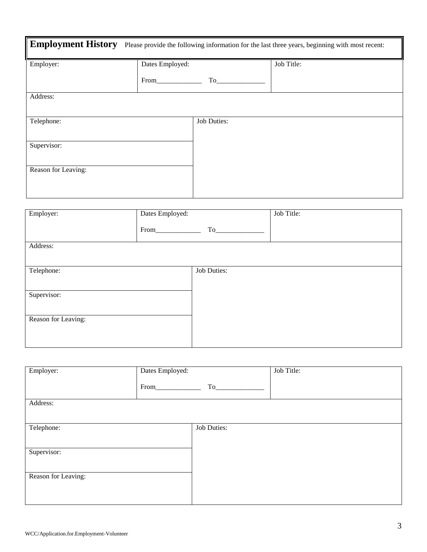| <b>Employment History</b><br>Please provide the following information for the last three years, beginning with most recent: |                 |                    |            |  |  |
|-----------------------------------------------------------------------------------------------------------------------------|-----------------|--------------------|------------|--|--|
| Employer:                                                                                                                   | Dates Employed: |                    | Job Title: |  |  |
|                                                                                                                             | From            | To                 |            |  |  |
| Address:                                                                                                                    |                 |                    |            |  |  |
| Telephone:                                                                                                                  |                 | <b>Job Duties:</b> |            |  |  |
| Supervisor:                                                                                                                 |                 |                    |            |  |  |
| Reason for Leaving:                                                                                                         |                 |                    |            |  |  |

| Employer:           | Dates Employed: |                    | Job Title: |
|---------------------|-----------------|--------------------|------------|
|                     | From            | To_                |            |
| Address:            |                 |                    |            |
| Telephone:          |                 | <b>Job Duties:</b> |            |
| Supervisor:         |                 |                    |            |
| Reason for Leaving: |                 |                    |            |
|                     |                 |                    |            |

| Employer:           | Dates Employed: |             | Job Title: |
|---------------------|-----------------|-------------|------------|
|                     | From            | To          |            |
| Address:            |                 |             |            |
|                     |                 |             |            |
| Telephone:          |                 | Job Duties: |            |
| Supervisor:         |                 |             |            |
|                     |                 |             |            |
| Reason for Leaving: |                 |             |            |
|                     |                 |             |            |
|                     |                 |             |            |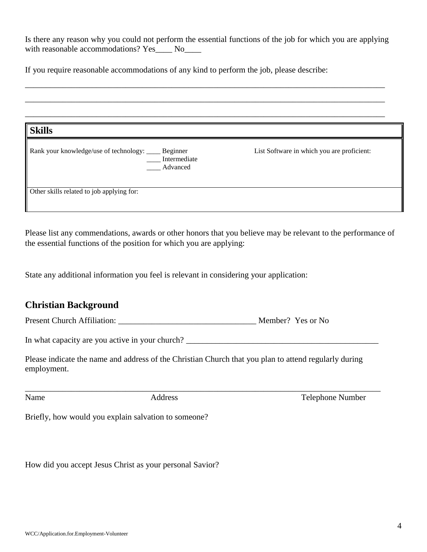Is there any reason why you could not perform the essential functions of the job for which you are applying with reasonable accommodations? Yes\_\_\_\_ No\_\_\_\_

\_\_\_\_\_\_\_\_\_\_\_\_\_\_\_\_\_\_\_\_\_\_\_\_\_\_\_\_\_\_\_\_\_\_\_\_\_\_\_\_\_\_\_\_\_\_\_\_\_\_\_\_\_\_\_\_\_\_\_\_\_\_\_\_\_\_\_\_\_\_\_\_\_\_\_\_\_\_\_\_\_\_\_\_\_\_

\_\_\_\_\_\_\_\_\_\_\_\_\_\_\_\_\_\_\_\_\_\_\_\_\_\_\_\_\_\_\_\_\_\_\_\_\_\_\_\_\_\_\_\_\_\_\_\_\_\_\_\_\_\_\_\_\_\_\_\_\_\_\_\_\_\_\_\_\_\_\_\_\_\_\_\_\_\_\_\_\_\_\_\_\_\_

If you require reasonable accommodations of any kind to perform the job, please describe:

| <b>Skills</b>                                                                    |                                            |
|----------------------------------------------------------------------------------|--------------------------------------------|
| Rank your knowledge/use of technology: ____ Beginner<br>Intermediate<br>Advanced | List Software in which you are proficient: |
| Other skills related to job applying for:                                        |                                            |
|                                                                                  |                                            |

Please list any commendations, awards or other honors that you believe may be relevant to the performance of the essential functions of the position for which you are applying:

State any additional information you feel is relevant in considering your application:

#### **Christian Background**

Present Church Affiliation: \_\_\_\_\_\_\_\_\_\_\_\_\_\_\_\_\_\_\_\_\_\_\_\_\_\_\_\_\_\_\_\_\_ Member? Yes or No

In what capacity are you active in your church? \_\_\_\_\_\_\_\_\_\_\_\_\_\_\_\_\_\_\_\_\_\_\_\_\_\_\_\_\_\_\_\_\_

Please indicate the name and address of the Christian Church that you plan to attend regularly during employment.

\_\_\_\_\_\_\_\_\_\_\_\_\_\_\_\_\_\_\_\_\_\_\_\_\_\_\_\_\_\_\_\_\_\_\_\_\_\_\_\_\_\_\_\_\_\_\_\_\_\_\_\_\_\_\_\_\_\_\_\_\_\_\_\_\_\_\_\_\_\_\_\_\_\_\_\_\_\_\_\_\_\_\_\_\_

Name Address Address Telephone Number

Briefly, how would you explain salvation to someone?

How did you accept Jesus Christ as your personal Savior?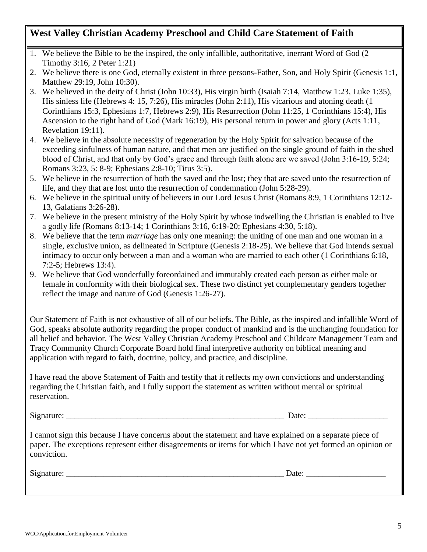### **West Valley Christian Academy Preschool and Child Care Statement of Faith**

- 1. We believe the Bible to be the inspired, the only infallible, authoritative, inerrant Word of God (2 Timothy 3:16, 2 Peter 1:21)
- 2. We believe there is one God, eternally existent in three persons-Father, Son, and Holy Spirit (Genesis 1:1, Matthew 29:19, John 10:30).
- 3. We believed in the deity of Christ (John 10:33), His virgin birth (Isaiah 7:14, Matthew 1:23, Luke 1:35), His sinless life (Hebrews 4: 15, 7:26), His miracles (John 2:11), His vicarious and atoning death (1 Corinthians 15:3, Ephesians 1:7, Hebrews 2:9), His Resurrection (John 11:25, 1 Corinthians 15:4), His Ascension to the right hand of God (Mark 16:19), His personal return in power and glory (Acts 1:11, Revelation 19:11).
- 4. We believe in the absolute necessity of regeneration by the Holy Spirit for salvation because of the exceeding sinfulness of human nature, and that men are justified on the single ground of faith in the shed blood of Christ, and that only by God's grace and through faith alone are we saved (John 3:16-19, 5:24; Romans 3:23, 5: 8-9; Ephesians 2:8-10; Titus 3:5).
- 5. We believe in the resurrection of both the saved and the lost; they that are saved unto the resurrection of life, and they that are lost unto the resurrection of condemnation (John 5:28-29).
- 6. We believe in the spiritual unity of believers in our Lord Jesus Christ (Romans 8:9, 1 Corinthians 12:12- 13, Galatians 3:26-28).
- 7. We believe in the present ministry of the Holy Spirit by whose indwelling the Christian is enabled to live a godly life (Romans 8:13-14; 1 Corinthians 3:16, 6:19-20; Ephesians 4:30, 5:18).
- 8. We believe that the term *marriage* has only one meaning: the uniting of one man and one woman in a single, exclusive union, as delineated in Scripture (Genesis 2:18-25). We believe that God intends sexual intimacy to occur only between a man and a woman who are married to each other (1 Corinthians 6:18, 7:2-5; Hebrews 13:4).
- 9. We believe that God wonderfully foreordained and immutably created each person as either male or female in conformity with their biological sex. These two distinct yet complementary genders together reflect the image and nature of God (Genesis 1:26-27).

Our Statement of Faith is not exhaustive of all of our beliefs. The Bible, as the inspired and infallible Word of God, speaks absolute authority regarding the proper conduct of mankind and is the unchanging foundation for all belief and behavior. The West Valley Christian Academy Preschool and Childcare Management Team and Tracy Community Church Corporate Board hold final interpretive authority on biblical meaning and application with regard to faith, doctrine, policy, and practice, and discipline.

I have read the above Statement of Faith and testify that it reflects my own convictions and understanding regarding the Christian faith, and I fully support the statement as written without mental or spiritual reservation.

Signature:  $\Box$ 

I cannot sign this because I have concerns about the statement and have explained on a separate piece of paper. The exceptions represent either disagreements or items for which I have not yet formed an opinion or conviction.

Signature: \_\_\_\_\_\_\_\_\_\_\_\_\_\_\_\_\_\_\_\_\_\_\_\_\_\_\_\_\_\_\_\_\_\_\_\_\_\_\_\_\_\_\_\_\_\_\_\_\_\_\_\_ Date: \_\_\_\_\_\_\_\_\_\_\_\_\_\_\_\_\_\_\_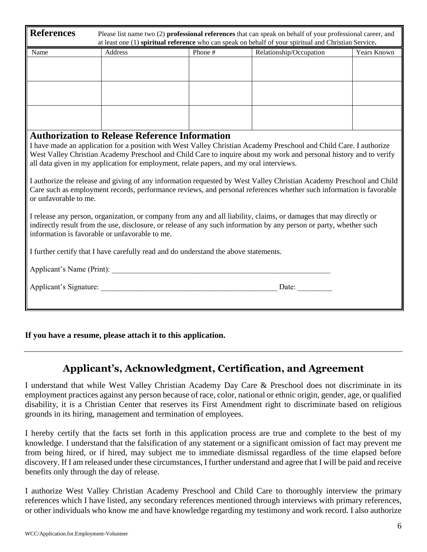| <b>References</b><br>Please list name two (2) professional references that can speak on behalf of your professional career, and<br>at least one (1) spiritual reference who can speak on behalf of your spiritual and Christian Service.                                                    |                                                                                         |         |                                                                                                                                                                                                                                          |             |  |
|---------------------------------------------------------------------------------------------------------------------------------------------------------------------------------------------------------------------------------------------------------------------------------------------|-----------------------------------------------------------------------------------------|---------|------------------------------------------------------------------------------------------------------------------------------------------------------------------------------------------------------------------------------------------|-------------|--|
| Name                                                                                                                                                                                                                                                                                        | Address                                                                                 | Phone # | Relationship/Occupation                                                                                                                                                                                                                  | Years Known |  |
|                                                                                                                                                                                                                                                                                             |                                                                                         |         |                                                                                                                                                                                                                                          |             |  |
|                                                                                                                                                                                                                                                                                             |                                                                                         |         |                                                                                                                                                                                                                                          |             |  |
|                                                                                                                                                                                                                                                                                             |                                                                                         |         |                                                                                                                                                                                                                                          |             |  |
|                                                                                                                                                                                                                                                                                             |                                                                                         |         |                                                                                                                                                                                                                                          |             |  |
|                                                                                                                                                                                                                                                                                             |                                                                                         |         |                                                                                                                                                                                                                                          |             |  |
|                                                                                                                                                                                                                                                                                             | <b>Authorization to Release Reference Information</b>                                   |         |                                                                                                                                                                                                                                          |             |  |
|                                                                                                                                                                                                                                                                                             | all data given in my application for employment, relate papers, and my oral interviews. |         | I have made an application for a position with West Valley Christian Academy Preschool and Child Care. I authorize<br>West Valley Christian Academy Preschool and Child Care to inquire about my work and personal history and to verify |             |  |
|                                                                                                                                                                                                                                                                                             |                                                                                         |         |                                                                                                                                                                                                                                          |             |  |
| I authorize the release and giving of any information requested by West Valley Christian Academy Preschool and Child<br>Care such as employment records, performance reviews, and personal references whether such information is favorable<br>or unfavorable to me.                        |                                                                                         |         |                                                                                                                                                                                                                                          |             |  |
| I release any person, organization, or company from any and all liability, claims, or damages that may directly or<br>indirectly result from the use, disclosure, or release of any such information by any person or party, whether such<br>information is favorable or unfavorable to me. |                                                                                         |         |                                                                                                                                                                                                                                          |             |  |
| I further certify that I have carefully read and do understand the above statements.                                                                                                                                                                                                        |                                                                                         |         |                                                                                                                                                                                                                                          |             |  |
| Applicant's Name (Print):                                                                                                                                                                                                                                                                   |                                                                                         |         |                                                                                                                                                                                                                                          |             |  |
|                                                                                                                                                                                                                                                                                             | Applicant's Signature:                                                                  |         | Date:                                                                                                                                                                                                                                    |             |  |
|                                                                                                                                                                                                                                                                                             |                                                                                         |         |                                                                                                                                                                                                                                          |             |  |

**If you have a resume, please attach it to this application.**

# **Applicant's, Acknowledgment, Certification, and Agreement**

I understand that while West Valley Christian Academy Day Care & Preschool does not discriminate in its employment practices against any person because of race, color, national or ethnic origin, gender, age, or qualified disability, it is a Christian Center that reserves its First Amendment right to discriminate based on religious grounds in its hiring, management and termination of employees.

I hereby certify that the facts set forth in this application process are true and complete to the best of my knowledge. I understand that the falsification of any statement or a significant omission of fact may prevent me from being hired, or if hired, may subject me to immediate dismissal regardless of the time elapsed before discovery. If I am released under these circumstances, I further understand and agree that I will be paid and receive benefits only through the day of release.

I authorize West Valley Christian Academy Preschool and Child Care to thoroughly interview the primary references which I have listed, any secondary references mentioned through interviews with primary references, or other individuals who know me and have knowledge regarding my testimony and work record. I also authorize